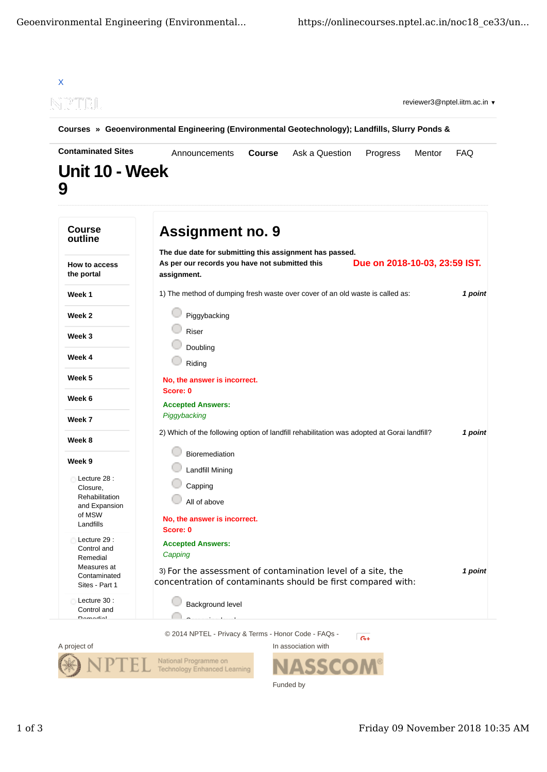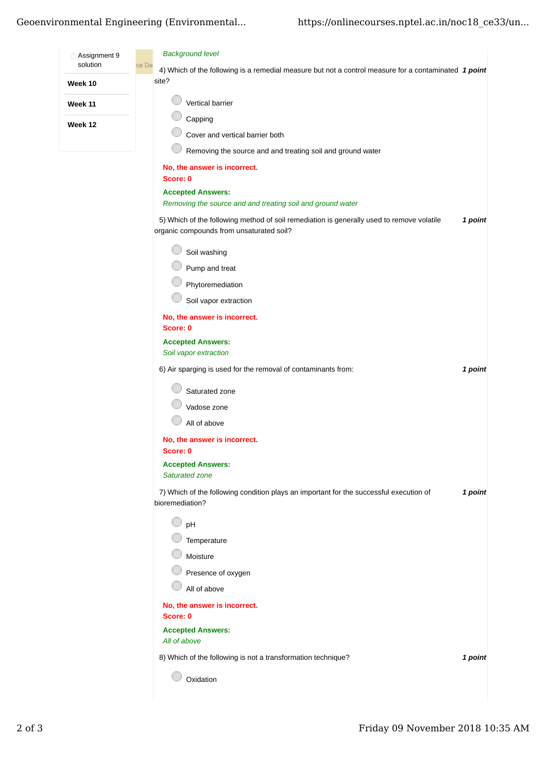## Geoenvironmental Engineering (Environmental...

| Assignment 9 | <b>Background level</b>                                                                                                               |         |
|--------------|---------------------------------------------------------------------------------------------------------------------------------------|---------|
| solution     | ce De<br>4) Which of the following is a remedial measure but not a control measure for a contaminated 1 point                         |         |
| Week 10      | site?                                                                                                                                 |         |
| Week 11      | Vertical barrier                                                                                                                      |         |
| Week 12      | Capping                                                                                                                               |         |
|              | Cover and vertical barrier both                                                                                                       |         |
|              | Removing the source and and treating soil and ground water                                                                            |         |
|              | No, the answer is incorrect.<br>Score: 0                                                                                              |         |
|              | <b>Accepted Answers:</b>                                                                                                              |         |
|              | Removing the source and and treating soil and ground water                                                                            |         |
|              | 5) Which of the following method of soil remediation is generally used to remove volatile<br>organic compounds from unsaturated soil? | 1 point |
|              | Soil washing                                                                                                                          |         |
|              | Pump and treat                                                                                                                        |         |
|              | Phytoremediation                                                                                                                      |         |
|              | Soil vapor extraction                                                                                                                 |         |
|              | No, the answer is incorrect.<br>Score: 0                                                                                              |         |
|              | <b>Accepted Answers:</b>                                                                                                              |         |
|              | Soil vapor extraction                                                                                                                 |         |
|              | 6) Air sparging is used for the removal of contaminants from:                                                                         | 1 point |
|              | Saturated zone                                                                                                                        |         |
|              | Vadose zone                                                                                                                           |         |
|              | All of above                                                                                                                          |         |
|              | No, the answer is incorrect.                                                                                                          |         |
|              | Score: 0                                                                                                                              |         |
|              | <b>Accepted Answers:</b><br>Saturated zone                                                                                            |         |
|              | 7) Which of the following condition plays an important for the successful execution of<br>bioremediation?                             | 1 point |
|              | pH                                                                                                                                    |         |
|              | Temperature                                                                                                                           |         |
|              | Moisture                                                                                                                              |         |
|              | Presence of oxygen                                                                                                                    |         |
|              | All of above                                                                                                                          |         |
|              | No, the answer is incorrect.                                                                                                          |         |
|              | Score: 0                                                                                                                              |         |
|              | <b>Accepted Answers:</b>                                                                                                              |         |
|              | All of above                                                                                                                          |         |
|              | 8) Which of the following is not a transformation technique?                                                                          | 1 point |
|              | Oxidation                                                                                                                             |         |